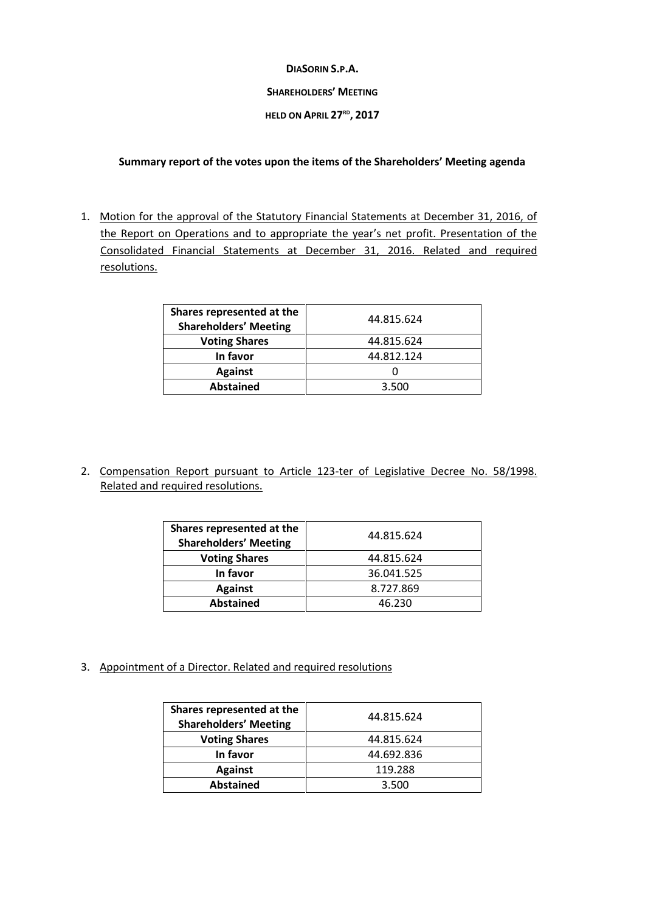## **DIASORIN S.P.A.**

## **SHAREHOLDERS' MEETING**

## **HELD ON APRIL 27 RD , 2017**

## **Summary report of the votes upon the items of the Shareholders' Meeting agenda**

1. Motion for the approval of the Statutory Financial Statements at December 31, 2016, of the Report on Operations and to appropriate the year's net profit. Presentation of the Consolidated Financial Statements at December 31, 2016. Related and required resolutions.

| Shares represented at the<br><b>Shareholders' Meeting</b> | 44.815.624 |
|-----------------------------------------------------------|------------|
| <b>Voting Shares</b>                                      | 44.815.624 |
| In favor                                                  | 44.812.124 |
| <b>Against</b>                                            |            |
| <b>Abstained</b>                                          | 3.500      |

2. Compensation Report pursuant to Article 123-ter of Legislative Decree No. 58/1998. Related and required resolutions.

| Shares represented at the<br><b>Shareholders' Meeting</b> | 44.815.624 |
|-----------------------------------------------------------|------------|
| <b>Voting Shares</b>                                      | 44.815.624 |
| In favor                                                  | 36.041.525 |
| <b>Against</b>                                            | 8.727.869  |
| <b>Abstained</b>                                          | 46.230     |

3. Appointment of a Director. Related and required resolutions

| Shares represented at the<br><b>Shareholders' Meeting</b> | 44.815.624 |
|-----------------------------------------------------------|------------|
| <b>Voting Shares</b>                                      | 44.815.624 |
| In favor                                                  | 44.692.836 |
| <b>Against</b>                                            | 119.288    |
| <b>Abstained</b>                                          | 3.500      |